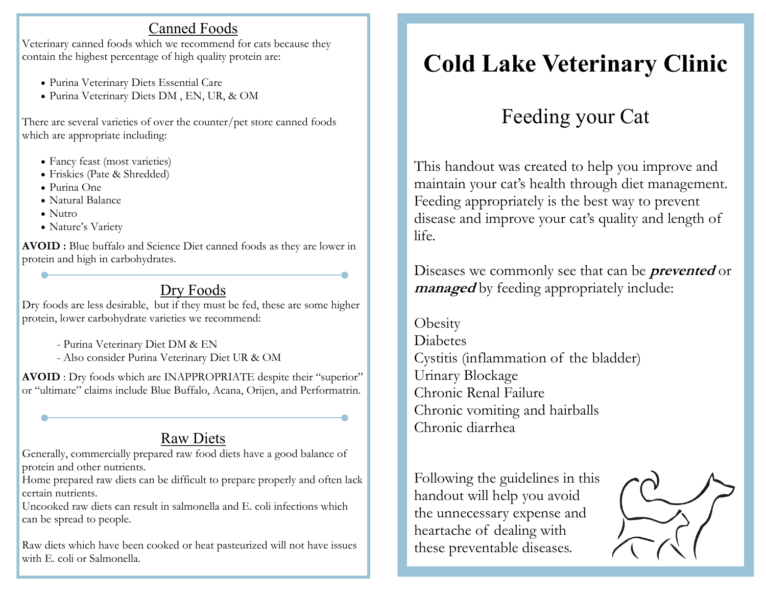### Canned Foods

Veterinary canned foods which we recommend for cats because they contain the highest percentage of high quality protein are:

- Purina Veterinary Diets Essential Care
- Purina Veterinary Diets DM , EN, UR, & OM

There are several varieties of over the counter/pet store canned foods which are appropriate including:

- Fancy feast (most varieties)
- Friskies (Pate & Shredded)
- Purina One
- Natural Balance
- Nutro
- Nature's Variety

**AVOID :** Blue buffalo and Science Diet canned foods as they are lower in protein and high in carbohydrates.

## Dry Foods

Dry foods are less desirable, but if they must be fed, these are some higher protein, lower carbohydrate varieties we recommend:

- Purina Veterinary Diet DM & EN
- Also consider Purina Veterinary Diet UR & OM

**AVOID** : Dry foods which are INAPPROPRIATE despite their "superior" or "ultimate" claims include Blue Buffalo, Acana, Orijen, and Performatrin.

## Raw Diets

Generally, commercially prepared raw food diets have a good balance of protein and other nutrients.

Home prepared raw diets can be difficult to prepare properly and often lack certain nutrients.

Uncooked raw diets can result in salmonella and E. coli infections which can be spread to people.

Raw diets which have been cooked or heat pasteurized will not have issues with E. coli or Salmonella.

# **Cold Lake Veterinary Clinic**

# Feeding your Cat

This handout was created to help you improve and maintain your cat's health through diet management. Feeding appropriately is the best way to prevent disease and improve your cat's quality and length of life.

Diseases we commonly see that can be **prevented** or *managed* by feeding appropriately include:

**Obesity** Diabetes Cystitis (inflammation of the bladder) Urinary Blockage Chronic Renal Failure Chronic vomiting and hairballs Chronic diarrhea

Following the guidelines in this handout will help you avoid the unnecessary expense and heartache of dealing with these preventable diseases.